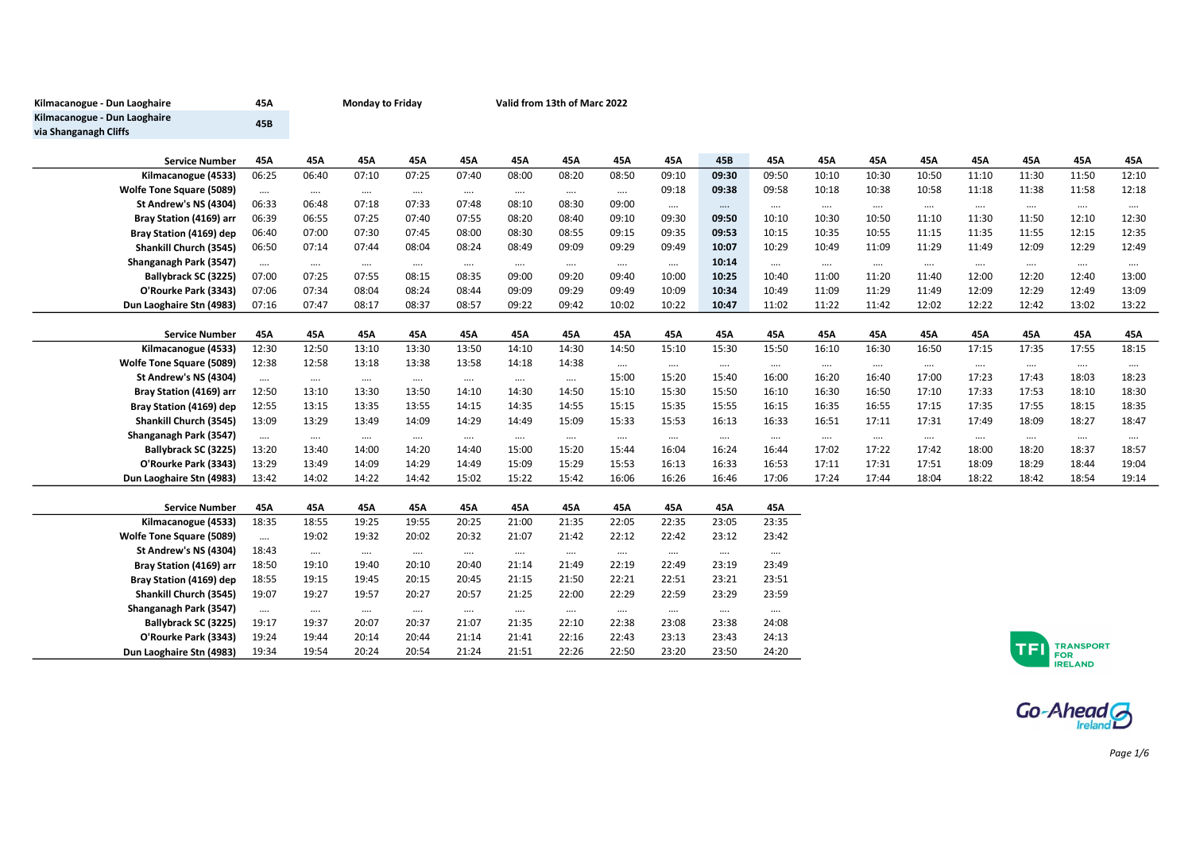| Kilmacanogue - Dun Laoghaire    | 45A      | <b>Monday to Friday</b> |          |          |          |          | Valid from 13th of Marc 2022 |          |          |          |          |          |          |          |          |          |                              |            |  |  |  |
|---------------------------------|----------|-------------------------|----------|----------|----------|----------|------------------------------|----------|----------|----------|----------|----------|----------|----------|----------|----------|------------------------------|------------|--|--|--|
| Kilmacanogue - Dun Laoghaire    | 45B      |                         |          |          |          |          |                              |          |          |          |          |          |          |          |          |          |                              |            |  |  |  |
| via Shanganagh Cliffs           |          |                         |          |          |          |          |                              |          |          |          |          |          |          |          |          |          |                              |            |  |  |  |
|                                 |          |                         |          |          |          |          |                              |          |          |          |          |          |          |          |          |          |                              |            |  |  |  |
| <b>Service Number</b>           | 45A      | 45A                     | 45A      | 45A      | 45A      | 45A      | 45A                          | 45A      | 45A      | 45B      | 45A      | 45A      | 45A      | 45A      | 45A      | 45A      | 45A                          | 45A        |  |  |  |
| Kilmacanogue (4533)             | 06:25    | 06:40                   | 07:10    | 07:25    | 07:40    | 08:00    | 08:20                        | 08:50    | 09:10    | 09:30    | 09:50    | 10:10    | 10:30    | 10:50    | 11:10    | 11:30    | 11:50                        | 12:10      |  |  |  |
| <b>Wolfe Tone Square (5089)</b> | $\cdots$ | $\cdots$                | $\cdots$ | $\cdots$ | $\cdots$ | $\cdots$ | $\cdots$                     | $\cdots$ | 09:18    | 09:38    | 09:58    | 10:18    | 10:38    | 10:58    | 11:18    | 11:38    | 11:58                        | 12:18      |  |  |  |
| St Andrew's NS (4304)           | 06:33    | 06:48                   | 07:18    | 07:33    | 07:48    | 08:10    | 08:30                        | 09:00    | $\cdots$ | $\cdots$ | $\cdots$ | $\cdots$ | $\cdots$ | $\cdots$ | $\cdots$ | $\cdots$ | $\cdots$                     | $\cdots$   |  |  |  |
| Bray Station (4169) arr         | 06:39    | 06:55                   | 07:25    | 07:40    | 07:55    | 08:20    | 08:40                        | 09:10    | 09:30    | 09:50    | 10:10    | 10:30    | 10:50    | 11:10    | 11:30    | 11:50    | 12:10                        | 12:30      |  |  |  |
| Bray Station (4169) dep         | 06:40    | 07:00                   | 07:30    | 07:45    | 08:00    | 08:30    | 08:55                        | 09:15    | 09:35    | 09:53    | 10:15    | 10:35    | 10:55    | 11:15    | 11:35    | 11:55    | 12:15                        | 12:35      |  |  |  |
| Shankill Church (3545)          | 06:50    | 07:14                   | 07:44    | 08:04    | 08:24    | 08:49    | 09:09                        | 09:29    | 09:49    | 10:07    | 10:29    | 10:49    | 11:09    | 11:29    | 11:49    | 12:09    | 12:29                        | 12:49      |  |  |  |
| Shanganagh Park (3547)          | $\cdots$ | $\cdots$                | $\cdots$ | $\cdots$ | $\cdots$ | $\cdots$ | $\cdots$                     |          | $\ldots$ | 10:14    | $\cdots$ | $\cdots$ | $\cdots$ | $\cdots$ | $\cdots$ | $\cdots$ | $\cdots$                     | $\cdots$   |  |  |  |
| Ballybrack SC (3225)            | 07:00    | 07:25                   | 07:55    | 08:15    | 08:35    | 09:00    | 09:20                        | 09:40    | 10:00    | 10:25    | 10:40    | 11:00    | 11:20    | 11:40    | 12:00    | 12:20    | 12:40                        | 13:00      |  |  |  |
| O'Rourke Park (3343)            | 07:06    | 07:34                   | 08:04    | 08:24    | 08:44    | 09:09    | 09:29                        | 09:49    | 10:09    | 10:34    | 10:49    | 11:09    | 11:29    | 11:49    | 12:09    | 12:29    | 12:49                        | 13:09      |  |  |  |
| Dun Laoghaire Stn (4983)        | 07:16    | 07:47                   | 08:17    | 08:37    | 08:57    | 09:22    | 09:42                        | 10:02    | 10:22    | 10:47    | 11:02    | 11:22    | 11:42    | 12:02    | 12:22    | 12:42    | 13:02                        | 13:22      |  |  |  |
|                                 |          |                         |          |          |          |          |                              |          |          |          |          |          |          |          |          |          |                              |            |  |  |  |
| <b>Service Number</b>           | 45A      | 45A                     | 45A      | 45A      | 45A      | 45A      | 45A                          | 45A      | 45A      | 45A      | 45A      | 45A      | 45A      | 45A      | 45A      | 45A      | 45A                          | 45A        |  |  |  |
| Kilmacanogue (4533)             | 12:30    | 12:50                   | 13:10    | 13:30    | 13:50    | 14:10    | 14:30                        | 14:50    | 15:10    | 15:30    | 15:50    | 16:10    | 16:30    | 16:50    | 17:15    | 17:35    | 17:55                        | 18:15      |  |  |  |
| <b>Wolfe Tone Square (5089)</b> | 12:38    | 12:58                   | 13:18    | 13:38    | 13:58    | 14:18    | 14:38                        | $\cdots$ | $\cdots$ | $\cdots$ | $\cdots$ | $\cdots$ | $\cdots$ | $\cdots$ | $\cdots$ | $\cdots$ | $\cdots$                     | $\cdots$   |  |  |  |
| St Andrew's NS (4304)           | $\cdots$ | $\cdots$                | $\cdots$ | $\cdots$ | $\cdots$ | $\cdots$ | $\cdots$                     | 15:00    | 15:20    | 15:40    | 16:00    | 16:20    | 16:40    | 17:00    | 17:23    | 17:43    | 18:03                        | 18:23      |  |  |  |
| Bray Station (4169) arr         | 12:50    | 13:10                   | 13:30    | 13:50    | 14:10    | 14:30    | 14:50                        | 15:10    | 15:30    | 15:50    | 16:10    | 16:30    | 16:50    | 17:10    | 17:33    | 17:53    | 18:10                        | 18:30      |  |  |  |
| Bray Station (4169) dep         | 12:55    | 13:15                   | 13:35    | 13:55    | 14:15    | 14:35    | 14:55                        | 15:15    | 15:35    | 15:55    | 16:15    | 16:35    | 16:55    | 17:15    | 17:35    | 17:55    | 18:15                        | 18:35      |  |  |  |
| Shankill Church (3545)          | 13:09    | 13:29                   | 13:49    | 14:09    | 14:29    | 14:49    | 15:09                        | 15:33    | 15:53    | 16:13    | 16:33    | 16:51    | 17:11    | 17:31    | 17:49    | 18:09    | 18:27                        | 18:47      |  |  |  |
| Shanganagh Park (3547)          | $\cdots$ | $\cdots$                | $\cdots$ | $\cdots$ | $\cdots$ | $\cdots$ | $\cdots$                     | $\cdots$ | $\cdots$ | $\cdots$ | $\cdots$ | $\ldots$ | $\cdots$ | $\cdots$ | $\cdots$ | $\cdots$ | $\cdots$                     | $\ldots$ . |  |  |  |
| Ballybrack SC (3225)            | 13:20    | 13:40                   | 14:00    | 14:20    | 14:40    | 15:00    | 15:20                        | 15:44    | 16:04    | 16:24    | 16:44    | 17:02    | 17:22    | 17:42    | 18:00    | 18:20    | 18:37                        | 18:57      |  |  |  |
| O'Rourke Park (3343)            | 13:29    | 13:49                   | 14:09    | 14:29    | 14:49    | 15:09    | 15:29                        | 15:53    | 16:13    | 16:33    | 16:53    | 17:11    | 17:31    | 17:51    | 18:09    | 18:29    | 18:44                        | 19:04      |  |  |  |
| Dun Laoghaire Stn (4983)        | 13:42    | 14:02                   | 14:22    | 14:42    | 15:02    | 15:22    | 15:42                        | 16:06    | 16:26    | 16:46    | 17:06    | 17:24    | 17:44    | 18:04    | 18:22    | 18:42    | 18:54                        | 19:14      |  |  |  |
|                                 |          |                         |          |          |          |          |                              |          |          |          |          |          |          |          |          |          |                              |            |  |  |  |
| <b>Service Number</b>           | 45A      | 45A                     | 45A      | 45A      | 45A      | 45A      | 45A                          | 45A      | 45A      | 45A      | 45A      |          |          |          |          |          |                              |            |  |  |  |
| Kilmacanogue (4533)             | 18:35    | 18:55                   | 19:25    | 19:55    | 20:25    | 21:00    | 21:35                        | 22:05    | 22:35    | 23:05    | 23:35    |          |          |          |          |          |                              |            |  |  |  |
| <b>Wolfe Tone Square (5089)</b> | $\cdots$ | 19:02                   | 19:32    | 20:02    | 20:32    | 21:07    | 21:42                        | 22:12    | 22:42    | 23:12    | 23:42    |          |          |          |          |          |                              |            |  |  |  |
| St Andrew's NS (4304)           | 18:43    | $\cdots$                | $\cdots$ | $\cdots$ | $\cdots$ | $\cdots$ | $\cdots$                     | $\cdots$ | $\cdots$ | $\cdots$ | $\cdots$ |          |          |          |          |          |                              |            |  |  |  |
| Bray Station (4169) arr         | 18:50    | 19:10                   | 19:40    | 20:10    | 20:40    | 21:14    | 21:49                        | 22:19    | 22:49    | 23:19    | 23:49    |          |          |          |          |          |                              |            |  |  |  |
| Bray Station (4169) dep         | 18:55    | 19:15                   | 19:45    | 20:15    | 20:45    | 21:15    | 21:50                        | 22:21    | 22:51    | 23:21    | 23:51    |          |          |          |          |          |                              |            |  |  |  |
| Shankill Church (3545)          | 19:07    | 19:27                   | 19:57    | 20:27    | 20:57    | 21:25    | 22:00                        | 22:29    | 22:59    | 23:29    | 23:59    |          |          |          |          |          |                              |            |  |  |  |
| Shanganagh Park (3547)          | $\cdots$ | $\cdots$                | $\cdots$ | $\cdots$ | $\cdots$ | $\cdots$ | $\cdots$                     | $\cdots$ | $\cdots$ | $\cdots$ | $\cdots$ |          |          |          |          |          |                              |            |  |  |  |
| Ballybrack SC (3225)            | 19:17    | 19:37                   | 20:07    | 20:37    | 21:07    | 21:35    | 22:10                        | 22:38    | 23:08    | 23:38    | 24:08    |          |          |          |          |          |                              |            |  |  |  |
| O'Rourke Park (3343)            | 19:24    | 19:44                   | 20:14    | 20:44    | 21:14    | 21:41    | 22:16                        | 22:43    | 23:13    | 23:43    | 24:13    |          |          |          |          |          | <b>TRANSPORT</b>             |            |  |  |  |
| Dun Laoghaire Stn (4983)        | 19:34    | 19:54                   | 20:24    | 20:54    | 21:24    | 21:51    | 22:26                        | 22:50    | 23:20    | 23:50    | 24:20    |          |          |          |          |          | <b>FOR</b><br><b>IRELAND</b> |            |  |  |  |
|                                 |          |                         |          |          |          |          |                              |          |          |          |          |          |          |          |          |          |                              |            |  |  |  |

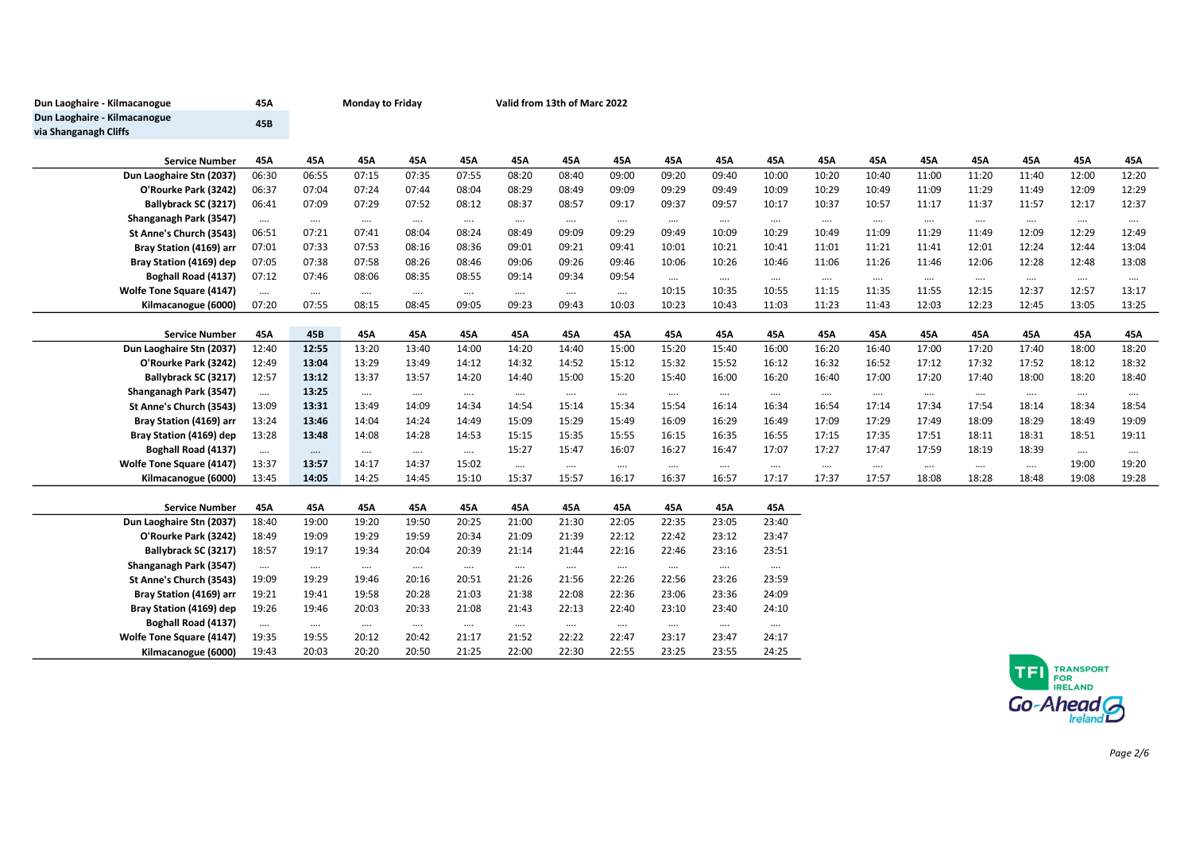| Dun Laoghaire - Kilmacanogue    | 45A      | <b>Monday to Friday</b> |          |          |          |          | Valid from 13th of Marc 2022 |          |          |          |          |          |          |          |          |          |          |          |
|---------------------------------|----------|-------------------------|----------|----------|----------|----------|------------------------------|----------|----------|----------|----------|----------|----------|----------|----------|----------|----------|----------|
| Dun Laoghaire - Kilmacanogue    | 45B      |                         |          |          |          |          |                              |          |          |          |          |          |          |          |          |          |          |          |
| via Shanganagh Cliffs           |          |                         |          |          |          |          |                              |          |          |          |          |          |          |          |          |          |          |          |
|                                 |          |                         |          |          |          |          |                              |          |          |          |          |          |          |          |          |          |          |          |
| <b>Service Number</b>           | 45A      | 45A                     | 45A      | 45A      | 45A      | 45A      | 45A                          | 45A      | 45A      | 45A      | 45A      | 45A      | 45A      | 45A      | 45A      | 45A      | 45A      | 45A      |
| Dun Laoghaire Stn (2037)        | 06:30    | 06:55                   | 07:15    | 07:35    | 07:55    | 08:20    | 08:40                        | 09:00    | 09:20    | 09:40    | 10:00    | 10:20    | 10:40    | 11:00    | 11:20    | 11:40    | 12:00    | 12:20    |
| O'Rourke Park (3242)            | 06:37    | 07:04                   | 07:24    | 07:44    | 08:04    | 08:29    | 08:49                        | 09:09    | 09:29    | 09:49    | 10:09    | 10:29    | 10:49    | 11:09    | 11:29    | 11:49    | 12:09    | 12:29    |
| Ballybrack SC (3217)            | 06:41    | 07:09                   | 07:29    | 07:52    | 08:12    | 08:37    | 08:57                        | 09:17    | 09:37    | 09:57    | 10:17    | 10:37    | 10:57    | 11:17    | 11:37    | 11:57    | 12:17    | 12:37    |
| Shanganagh Park (3547)          | $\cdots$ | $\cdots$                | $\cdots$ | $\cdots$ | $\cdots$ | $\cdots$ | $\cdots$                     | $\cdots$ | $\cdots$ | $\cdots$ | $\cdots$ | $\cdots$ | $\cdots$ | $\cdots$ | $\cdots$ | $\cdots$ | $\cdots$ | $\cdots$ |
| St Anne's Church (3543)         | 06:51    | 07:21                   | 07:41    | 08:04    | 08:24    | 08:49    | 09:09                        | 09:29    | 09:49    | 10:09    | 10:29    | 10:49    | 11:09    | 11:29    | 11:49    | 12:09    | 12:29    | 12:49    |
| Bray Station (4169) arr         | 07:01    | 07:33                   | 07:53    | 08:16    | 08:36    | 09:01    | 09:21                        | 09:41    | 10:01    | 10:21    | 10:41    | 11:01    | 11:21    | 11:41    | 12:01    | 12:24    | 12:44    | 13:04    |
| Bray Station (4169) dep         | 07:05    | 07:38                   | 07:58    | 08:26    | 08:46    | 09:06    | 09:26                        | 09:46    | 10:06    | 10:26    | 10:46    | 11:06    | 11:26    | 11:46    | 12:06    | 12:28    | 12:48    | 13:08    |
| Boghall Road (4137)             | 07:12    | 07:46                   | 08:06    | 08:35    | 08:55    | 09:14    | 09:34                        | 09:54    | $\cdots$ | $\cdots$ | $\cdots$ | $\cdots$ | $\cdots$ | $\cdots$ | $\cdots$ | $\cdots$ | $\cdots$ | $\cdots$ |
| Wolfe Tone Square (4147)        | $\cdots$ | $\cdots$                | $\cdots$ | $\cdots$ | $\cdots$ | $\cdots$ | $\cdots$                     | $\cdots$ | 10:15    | 10:35    | 10:55    | 11:15    | 11:35    | 11:55    | 12:15    | 12:37    | 12:57    | 13:17    |
| Kilmacanogue (6000)             | 07:20    | 07:55                   | 08:15    | 08:45    | 09:05    | 09:23    | 09:43                        | 10:03    | 10:23    | 10:43    | 11:03    | 11:23    | 11:43    | 12:03    | 12:23    | 12:45    | 13:05    | 13:25    |
|                                 |          |                         |          |          |          |          |                              |          |          |          |          |          |          |          |          |          |          |          |
| <b>Service Number</b>           | 45A      | 45B                     | 45A      | 45A      | 45A      | 45A      | 45A                          | 45A      | 45A      | 45A      | 45A      | 45A      | 45A      | 45A      | 45A      | 45A      | 45A      | 45A      |
| Dun Laoghaire Stn (2037)        | 12:40    | 12:55                   | 13:20    | 13:40    | 14:00    | 14:20    | 14:40                        | 15:00    | 15:20    | 15:40    | 16:00    | 16:20    | 16:40    | 17:00    | 17:20    | 17:40    | 18:00    | 18:20    |
| O'Rourke Park (3242)            | 12:49    | 13:04                   | 13:29    | 13:49    | 14:12    | 14:32    | 14:52                        | 15:12    | 15:32    | 15:52    | 16:12    | 16:32    | 16:52    | 17:12    | 17:32    | 17:52    | 18:12    | 18:32    |
| Ballybrack SC (3217)            | 12:57    | 13:12                   | 13:37    | 13:57    | 14:20    | 14:40    | 15:00                        | 15:20    | 15:40    | 16:00    | 16:20    | 16:40    | 17:00    | 17:20    | 17:40    | 18:00    | 18:20    | 18:40    |
| Shanganagh Park (3547)          | $\cdots$ | 13:25                   | $\cdots$ | $\cdots$ | $\cdots$ | $\cdots$ | $\cdots$                     | $\cdots$ | $\cdots$ | $\cdots$ | $\cdots$ | $\cdots$ | $\cdots$ | $\cdots$ | $\cdots$ | $\cdots$ | $\cdots$ | $\cdots$ |
| St Anne's Church (3543)         | 13:09    | 13:31                   | 13:49    | 14:09    | 14:34    | 14:54    | 15:14                        | 15:34    | 15:54    | 16:14    | 16:34    | 16:54    | 17:14    | 17:34    | 17:54    | 18:14    | 18:34    | 18:54    |
| Bray Station (4169) arr         | 13:24    | 13:46                   | 14:04    | 14:24    | 14:49    | 15:09    | 15:29                        | 15:49    | 16:09    | 16:29    | 16:49    | 17:09    | 17:29    | 17:49    | 18:09    | 18:29    | 18:49    | 19:09    |
| Bray Station (4169) dep         | 13:28    | 13:48                   | 14:08    | 14:28    | 14:53    | 15:15    | 15:35                        | 15:55    | 16:15    | 16:35    | 16:55    | 17:15    | 17:35    | 17:51    | 18:11    | 18:31    | 18:51    | 19:11    |
| <b>Boghall Road (4137)</b>      | $\cdots$ | $\cdots$                | $\cdots$ | $\cdots$ | $\cdots$ | 15:27    | 15:47                        | 16:07    | 16:27    | 16:47    | 17:07    | 17:27    | 17:47    | 17:59    | 18:19    | 18:39    | $\cdots$ | $\cdots$ |
| Wolfe Tone Square (4147)        | 13:37    | 13:57                   | 14:17    | 14:37    | 15:02    | $\cdots$ | $\cdots$                     | $\cdots$ | $\cdots$ | $\cdots$ | $\cdots$ | $\cdots$ | $\cdots$ | $\cdots$ | $\cdots$ | $\cdots$ | 19:00    | 19:20    |
| Kilmacanogue (6000)             | 13:45    | 14:05                   | 14:25    | 14:45    | 15:10    | 15:37    | 15:57                        | 16:17    | 16:37    | 16:57    | 17:17    | 17:37    | 17:57    | 18:08    | 18:28    | 18:48    | 19:08    | 19:28    |
|                                 |          |                         |          |          |          |          |                              |          |          |          |          |          |          |          |          |          |          |          |
| <b>Service Number</b>           | 45A      | 45A                     | 45A      | 45A      | 45A      | 45A      | 45A                          | 45A      | 45A      | 45A      | 45A      |          |          |          |          |          |          |          |
| Dun Laoghaire Stn (2037)        | 18:40    | 19:00                   | 19:20    | 19:50    | 20:25    | 21:00    | 21:30                        | 22:05    | 22:35    | 23:05    | 23:40    |          |          |          |          |          |          |          |
| O'Rourke Park (3242)            | 18:49    | 19:09                   | 19:29    | 19:59    | 20:34    | 21:09    | 21:39                        | 22:12    | 22:42    | 23:12    | 23:47    |          |          |          |          |          |          |          |
| Ballybrack SC (3217)            | 18:57    | 19:17                   | 19:34    | 20:04    | 20:39    | 21:14    | 21:44                        | 22:16    | 22:46    | 23:16    | 23:51    |          |          |          |          |          |          |          |
| Shanganagh Park (3547)          | $\cdots$ | $\cdots$                | $\cdots$ | $\cdots$ | $\cdots$ | $\cdots$ | $\cdots$                     | $\cdots$ | $\cdots$ | $\cdots$ | $\cdots$ |          |          |          |          |          |          |          |
| St Anne's Church (3543)         | 19:09    | 19:29                   | 19:46    | 20:16    | 20:51    | 21:26    | 21:56                        | 22:26    | 22:56    | 23:26    | 23:59    |          |          |          |          |          |          |          |
| Bray Station (4169) arr         | 19:21    | 19:41                   | 19:58    | 20:28    | 21:03    | 21:38    | 22:08                        | 22:36    | 23:06    | 23:36    | 24:09    |          |          |          |          |          |          |          |
| Bray Station (4169) dep         | 19:26    | 19:46                   | 20:03    | 20:33    | 21:08    | 21:43    | 22:13                        | 22:40    | 23:10    | 23:40    | 24:10    |          |          |          |          |          |          |          |
| <b>Boghall Road (4137)</b>      | $\cdots$ | $\cdots$                | $\cdots$ | $\cdots$ | $\cdots$ | $\cdots$ | $\cdots$                     | $\cdots$ | $\cdots$ | $\cdots$ | $\cdots$ |          |          |          |          |          |          |          |
| <b>Wolfe Tone Square (4147)</b> | 19:35    | 19:55                   | 20:12    | 20:42    | 21:17    | 21:52    | 22:22                        | 22:47    | 23:17    | 23:47    | 24:17    |          |          |          |          |          |          |          |
| Kilmacanogue (6000)             | 19:43    | 20:03                   | 20:20    | 20:50    | 21:25    | 22:00    | 22:30                        | 22:55    | 23:25    | 23:55    | 24:25    |          |          |          |          |          |          |          |

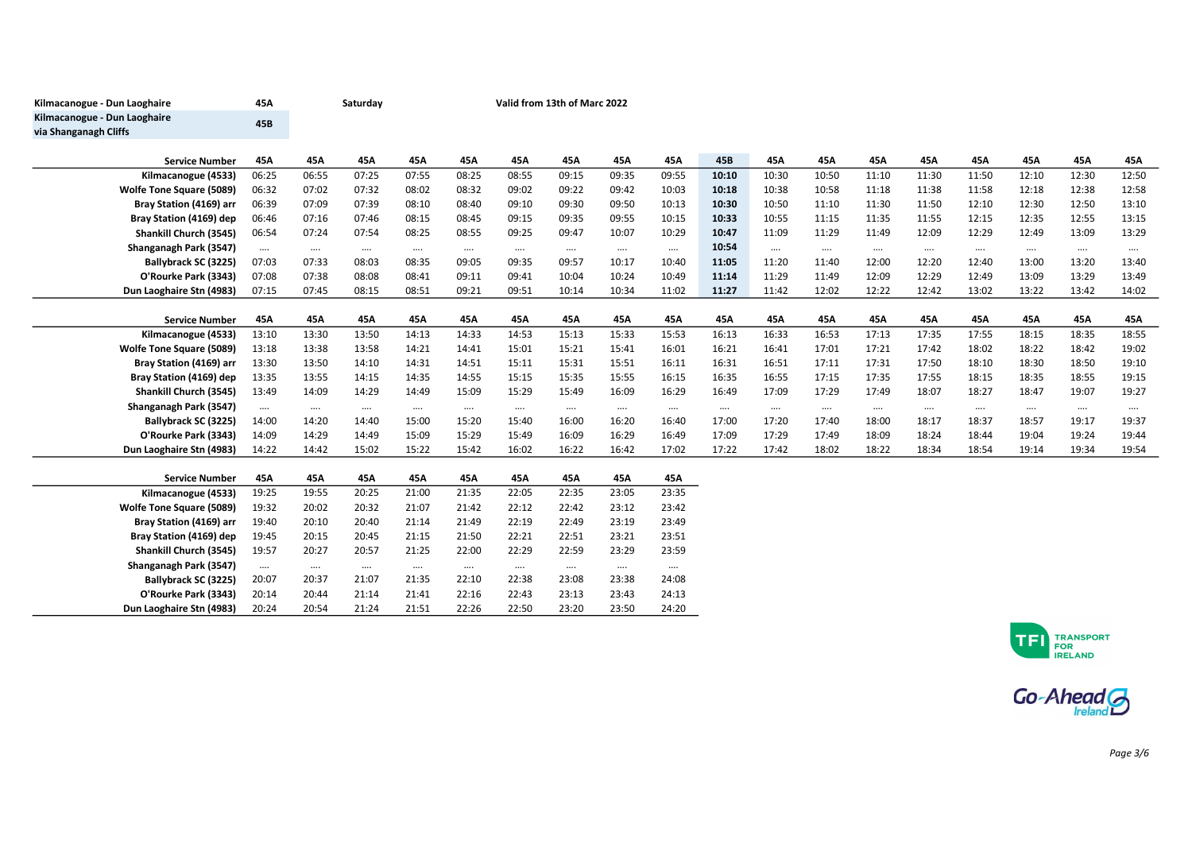| Kilmacanogue - Dun Laoghaire    | 45A      |          | Saturday |          |          | Valid from 13th of Marc 2022 |          |          |          |          |          |          |          |          |          |          |          |          |
|---------------------------------|----------|----------|----------|----------|----------|------------------------------|----------|----------|----------|----------|----------|----------|----------|----------|----------|----------|----------|----------|
| Kilmacanogue - Dun Laoghaire    | 45B      |          |          |          |          |                              |          |          |          |          |          |          |          |          |          |          |          |          |
| via Shanganagh Cliffs           |          |          |          |          |          |                              |          |          |          |          |          |          |          |          |          |          |          |          |
|                                 |          |          |          |          |          |                              |          |          |          |          |          |          |          |          |          |          |          |          |
| <b>Service Number</b>           | 45A      | 45A      | 45A      | 45A      | 45A      | 45A                          | 45A      | 45A      | 45A      | 45B      | 45A      | 45A      | 45A      | 45A      | 45A      | 45A      | 45A      | 45A      |
| Kilmacanogue (4533)             | 06:25    | 06:55    | 07:25    | 07:55    | 08:25    | 08:55                        | 09:15    | 09:35    | 09:55    | 10:10    | 10:30    | 10:50    | 11:10    | 11:30    | 11:50    | 12:10    | 12:30    | 12:50    |
| Wolfe Tone Square (5089)        | 06:32    | 07:02    | 07:32    | 08:02    | 08:32    | 09:02                        | 09:22    | 09:42    | 10:03    | 10:18    | 10:38    | 10:58    | 11:18    | 11:38    | 11:58    | 12:18    | 12:38    | 12:58    |
| Bray Station (4169) arr         | 06:39    | 07:09    | 07:39    | 08:10    | 08:40    | 09:10                        | 09:30    | 09:50    | 10:13    | 10:30    | 10:50    | 11:10    | 11:30    | 11:50    | 12:10    | 12:30    | 12:50    | 13:10    |
| Bray Station (4169) dep         | 06:46    | 07:16    | 07:46    | 08:15    | 08:45    | 09:15                        | 09:35    | 09:55    | 10:15    | 10:33    | 10:55    | 11:15    | 11:35    | 11:55    | 12:15    | 12:35    | 12:55    | 13:15    |
| Shankill Church (3545)          | 06:54    | 07:24    | 07:54    | 08:25    | 08:55    | 09:25                        | 09:47    | 10:07    | 10:29    | 10:47    | 11:09    | 11:29    | 11:49    | 12:09    | 12:29    | 12:49    | 13:09    | 13:29    |
| Shanganagh Park (3547)          | $\cdots$ | $\cdots$ | $\cdots$ | $\cdots$ | $\cdots$ | $\cdots$                     | $\cdots$ | $\cdots$ | $\cdots$ | 10:54    | $\cdots$ | $\cdots$ | $\cdots$ | $\cdots$ | $\cdots$ | $\cdots$ | $\cdots$ | $\cdots$ |
| Ballybrack SC (3225)            | 07:03    | 07:33    | 08:03    | 08:35    | 09:05    | 09:35                        | 09:57    | 10:17    | 10:40    | 11:05    | 11:20    | 11:40    | 12:00    | 12:20    | 12:40    | 13:00    | 13:20    | 13:40    |
| O'Rourke Park (3343)            | 07:08    | 07:38    | 08:08    | 08:41    | 09:11    | 09:41                        | 10:04    | 10:24    | 10:49    | 11:14    | 11:29    | 11:49    | 12:09    | 12:29    | 12:49    | 13:09    | 13:29    | 13:49    |
| Dun Laoghaire Stn (4983)        | 07:15    | 07:45    | 08:15    | 08:51    | 09:21    | 09:51                        | 10:14    | 10:34    | 11:02    | 11:27    | 11:42    | 12:02    | 12:22    | 12:42    | 13:02    | 13:22    | 13:42    | 14:02    |
| <b>Service Number</b>           | 45A      | 45A      | 45A      | 45A      | 45A      | 45A                          | 45A      | 45A      | 45A      | 45A      | 45A      | 45A      | 45A      | 45A      | 45A      | 45A      | 45A      | 45A      |
| Kilmacanogue (4533)             | 13:10    | 13:30    | 13:50    | 14:13    | 14:33    | 14:53                        | 15:13    | 15:33    | 15:53    | 16:13    | 16:33    | 16:53    | 17:13    | 17:35    | 17:55    | 18:15    | 18:35    | 18:55    |
| <b>Wolfe Tone Square (5089)</b> | 13:18    | 13:38    | 13:58    | 14:21    | 14:41    | 15:01                        | 15:21    | 15:41    | 16:01    | 16:21    | 16:41    | 17:01    | 17:21    | 17:42    | 18:02    | 18:22    | 18:42    | 19:02    |
| Bray Station (4169) arr         | 13:30    | 13:50    | 14:10    | 14:31    | 14:51    | 15:11                        | 15:31    | 15:51    | 16:11    | 16:31    | 16:51    | 17:11    | 17:31    | 17:50    | 18:10    | 18:30    | 18:50    | 19:10    |
| Bray Station (4169) dep         | 13:35    | 13:55    | 14:15    | 14:35    | 14:55    | 15:15                        | 15:35    | 15:55    | 16:15    | 16:35    | 16:55    | 17:15    | 17:35    | 17:55    | 18:15    | 18:35    | 18:55    | 19:15    |
| Shankill Church (3545)          | 13:49    | 14:09    | 14:29    | 14:49    | 15:09    | 15:29                        | 15:49    | 16:09    | 16:29    | 16:49    | 17:09    | 17:29    | 17:49    | 18:07    | 18:27    | 18:47    | 19:07    | 19:27    |
| Shanganagh Park (3547)          | $\cdots$ | $\cdots$ | $\cdots$ | $\cdots$ | $\cdots$ | $\cdots$                     | $\cdots$ | $\cdots$ | $\cdots$ | $\cdots$ | $\cdots$ | $\cdots$ | $\cdots$ | $\cdots$ | $\cdots$ | $\cdots$ | $\cdots$ | $\cdots$ |
| Ballybrack SC (3225)            | 14:00    | 14:20    | 14:40    | 15:00    | 15:20    | 15:40                        | 16:00    | 16:20    | 16:40    | 17:00    | 17:20    | 17:40    | 18:00    | 18:17    | 18:37    | 18:57    | 19:17    | 19:37    |
| O'Rourke Park (3343)            | 14:09    | 14:29    | 14:49    | 15:09    | 15:29    | 15:49                        | 16:09    | 16:29    | 16:49    | 17:09    | 17:29    | 17:49    | 18:09    | 18:24    | 18:44    | 19:04    | 19:24    | 19:44    |
| Dun Laoghaire Stn (4983)        | 14:22    | 14:42    | 15:02    | 15:22    | 15:42    | 16:02                        | 16:22    | 16:42    | 17:02    | 17:22    | 17:42    | 18:02    | 18:22    | 18:34    | 18:54    | 19:14    | 19:34    | 19:54    |
|                                 |          |          |          |          |          |                              |          |          |          |          |          |          |          |          |          |          |          |          |
| <b>Service Number</b>           | 45A      | 45A      | 45A      | 45A      | 45A      | 45A                          | 45A      | 45A      | 45A      |          |          |          |          |          |          |          |          |          |
| Kilmacanogue (4533)             | 19:25    | 19:55    | 20:25    | 21:00    | 21:35    | 22:05                        | 22:35    | 23:05    | 23:35    |          |          |          |          |          |          |          |          |          |
| <b>Wolfe Tone Square (5089)</b> | 19:32    | 20:02    | 20:32    | 21:07    | 21:42    | 22:12                        | 22:42    | 23:12    | 23:42    |          |          |          |          |          |          |          |          |          |
| Bray Station (4169) arr         | 19:40    | 20:10    | 20:40    | 21:14    | 21:49    | 22:19                        | 22:49    | 23:19    | 23:49    |          |          |          |          |          |          |          |          |          |
| Bray Station (4169) dep         | 19:45    | 20:15    | 20:45    | 21:15    | 21:50    | 22:21                        | 22:51    | 23:21    | 23:51    |          |          |          |          |          |          |          |          |          |
| Shankill Church (3545)          | 19:57    | 20:27    | 20:57    | 21:25    | 22:00    | 22:29                        | 22:59    | 23:29    | 23:59    |          |          |          |          |          |          |          |          |          |
| Shanganagh Park (3547)          | $\cdots$ | $\cdots$ | $\cdots$ | $\cdots$ | $\cdots$ | $\cdots$                     | $\cdots$ | $\cdots$ | $\cdots$ |          |          |          |          |          |          |          |          |          |
| Ballybrack SC (3225)            | 20:07    | 20:37    | 21:07    | 21:35    | 22:10    | 22:38                        | 23:08    | 23:38    | 24:08    |          |          |          |          |          |          |          |          |          |
| O'Rourke Park (3343)            | 20:14    | 20:44    | 21:14    | 21:41    | 22:16    | 22:43                        | 23:13    | 23:43    | 24:13    |          |          |          |          |          |          |          |          |          |
| Dun Laoghaire Stn (4983)        | 20:24    | 20:54    | 21:24    | 21:51    | 22:26    | 22:50                        | 23:20    | 23:50    | 24:20    |          |          |          |          |          |          |          |          |          |



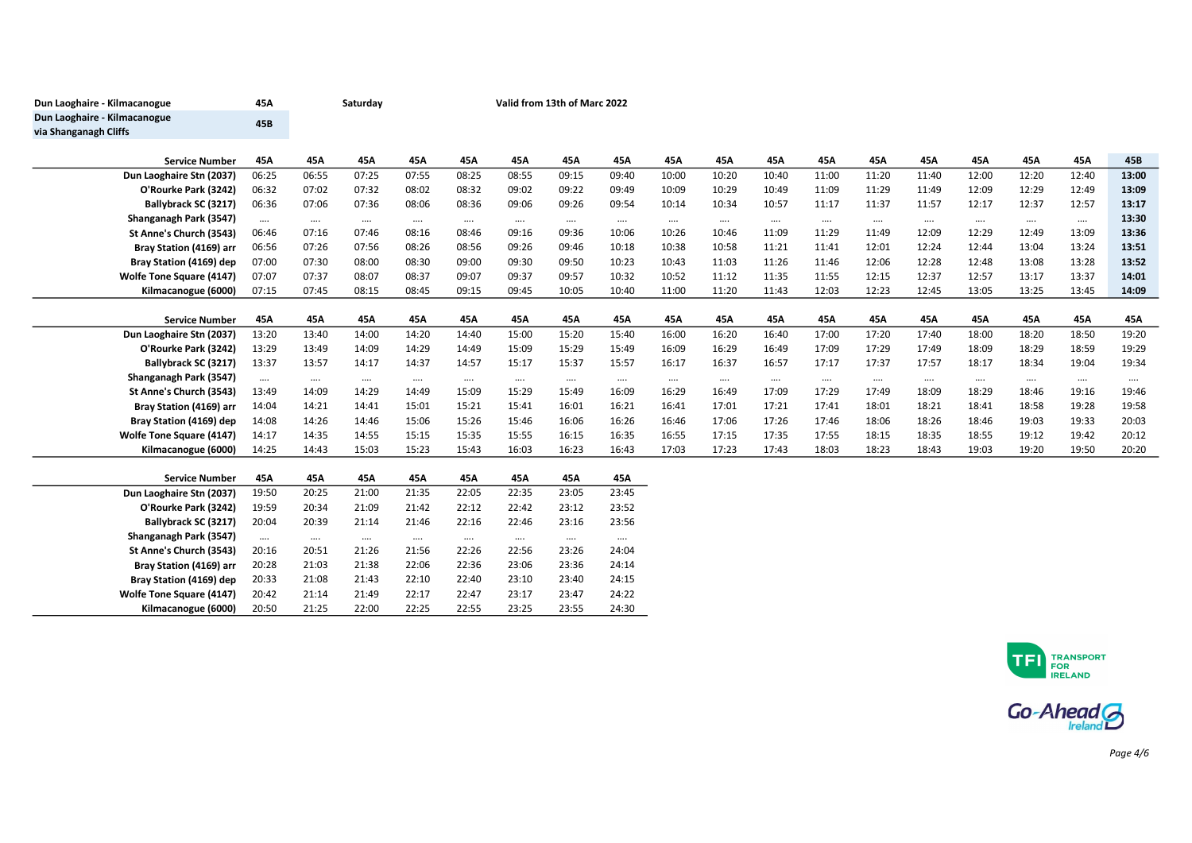| Dun Laoghaire - Kilmacanogue                          | 45A      |          | Saturday |          |          |          |          | Valid from 13th of Marc 2022 |          |          |          |          |          |          |          |          |          |          |  |  |
|-------------------------------------------------------|----------|----------|----------|----------|----------|----------|----------|------------------------------|----------|----------|----------|----------|----------|----------|----------|----------|----------|----------|--|--|
| Dun Laoghaire - Kilmacanogue<br>via Shanganagh Cliffs | 45B      |          |          |          |          |          |          |                              |          |          |          |          |          |          |          |          |          |          |  |  |
| <b>Service Number</b>                                 | 45A      | 45A      | 45A      | 45A      | 45A      | 45A      | 45A      | 45A                          | 45A      | 45A      | 45A      | 45A      | 45A      | 45A      | 45A      | 45A      | 45A      | 45B      |  |  |
| Dun Laoghaire Stn (2037)                              | 06:25    | 06:55    | 07:25    | 07:55    | 08:25    | 08:55    | 09:15    | 09:40                        | 10:00    | 10:20    | 10:40    | 11:00    | 11:20    | 11:40    | 12:00    | 12:20    | 12:40    | 13:00    |  |  |
| O'Rourke Park (3242)                                  | 06:32    | 07:02    | 07:32    | 08:02    | 08:32    | 09:02    | 09:22    | 09:49                        | 10:09    | 10:29    | 10:49    | 11:09    | 11:29    | 11:49    | 12:09    | 12:29    | 12:49    | 13:09    |  |  |
| Ballybrack SC (3217)                                  | 06:36    | 07:06    | 07:36    | 08:06    | 08:36    | 09:06    | 09:26    | 09:54                        | 10:14    | 10:34    | 10:57    | 11:17    | 11:37    | 11:57    | 12:17    | 12:37    | 12:57    | 13:17    |  |  |
| Shanganagh Park (3547)                                | $\cdots$ | $\cdots$ | $\cdots$ | $\cdots$ | $\cdots$ | $\cdots$ | $\cdots$ | $\cdots$                     | $\cdots$ | $\cdots$ | $\cdots$ | $\cdots$ | $\cdots$ | $\cdots$ | $\cdots$ | $\cdots$ | $\cdots$ | 13:30    |  |  |
| St Anne's Church (3543)                               | 06:46    | 07:16    | 07:46    | 08:16    | 08:46    | 09:16    | 09:36    | 10:06                        | 10:26    | 10:46    | 11:09    | 11:29    | 11:49    | 12:09    | 12:29    | 12:49    | 13:09    | 13:36    |  |  |
| Bray Station (4169) arr                               | 06:56    | 07:26    | 07:56    | 08:26    | 08:56    | 09:26    | 09:46    | 10:18                        | 10:38    | 10:58    | 11:21    | 11:41    | 12:01    | 12:24    | 12:44    | 13:04    | 13:24    | 13:51    |  |  |
| Bray Station (4169) dep                               | 07:00    | 07:30    | 08:00    | 08:30    | 09:00    | 09:30    | 09:50    | 10:23                        | 10:43    | 11:03    | 11:26    | 11:46    | 12:06    | 12:28    | 12:48    | 13:08    | 13:28    | 13:52    |  |  |
| <b>Wolfe Tone Square (4147)</b>                       | 07:07    | 07:37    | 08:07    | 08:37    | 09:07    | 09:37    | 09:57    | 10:32                        | 10:52    | 11:12    | 11:35    | 11:55    | 12:15    | 12:37    | 12:57    | 13:17    | 13:37    | 14:01    |  |  |
| Kilmacanogue (6000)                                   | 07:15    | 07:45    | 08:15    | 08:45    | 09:15    | 09:45    | 10:05    | 10:40                        | 11:00    | 11:20    | 11:43    | 12:03    | 12:23    | 12:45    | 13:05    | 13:25    | 13:45    | 14:09    |  |  |
|                                                       |          |          |          |          |          |          |          |                              |          |          |          |          |          |          |          |          |          |          |  |  |
| <b>Service Number</b>                                 | 45A      | 45A      | 45A      | 45A      | 45A      | 45A      | 45A      | 45A                          | 45A      | 45A      | 45A      | 45A      | 45A      | 45A      | 45A      | 45A      | 45A      | 45A      |  |  |
| Dun Laoghaire Stn (2037)                              | 13:20    | 13:40    | 14:00    | 14:20    | 14:40    | 15:00    | 15:20    | 15:40                        | 16:00    | 16:20    | 16:40    | 17:00    | 17:20    | 17:40    | 18:00    | 18:20    | 18:50    | 19:20    |  |  |
| O'Rourke Park (3242)                                  | 13:29    | 13:49    | 14:09    | 14:29    | 14:49    | 15:09    | 15:29    | 15:49                        | 16:09    | 16:29    | 16:49    | 17:09    | 17:29    | 17:49    | 18:09    | 18:29    | 18:59    | 19:29    |  |  |
| Ballybrack SC (3217)                                  | 13:37    | 13:57    | 14:17    | 14:37    | 14:57    | 15:17    | 15:37    | 15:57                        | 16:17    | 16:37    | 16:57    | 17:17    | 17:37    | 17:57    | 18:17    | 18:34    | 19:04    | 19:34    |  |  |
| Shanganagh Park (3547)                                | $\cdots$ | $\cdots$ | $\cdots$ | $\cdots$ | $\cdots$ | $\cdots$ | $\cdots$ | $\cdots$                     | $\cdots$ | $\cdots$ | $\cdots$ | $\cdots$ | $\cdots$ | $\cdots$ | $\cdots$ | $\cdots$ | $\cdots$ | $\cdots$ |  |  |
| St Anne's Church (3543)                               | 13:49    | 14:09    | 14:29    | 14:49    | 15:09    | 15:29    | 15:49    | 16:09                        | 16:29    | 16:49    | 17:09    | 17:29    | 17:49    | 18:09    | 18:29    | 18:46    | 19:16    | 19:46    |  |  |
| Bray Station (4169) arr                               | 14:04    | 14:21    | 14:41    | 15:01    | 15:21    | 15:41    | 16:01    | 16:21                        | 16:41    | 17:01    | 17:21    | 17:41    | 18:01    | 18:21    | 18:41    | 18:58    | 19:28    | 19:58    |  |  |
| Bray Station (4169) dep                               | 14:08    | 14:26    | 14:46    | 15:06    | 15:26    | 15:46    | 16:06    | 16:26                        | 16:46    | 17:06    | 17:26    | 17:46    | 18:06    | 18:26    | 18:46    | 19:03    | 19:33    | 20:03    |  |  |
| <b>Wolfe Tone Square (4147)</b>                       | 14:17    | 14:35    | 14:55    | 15:15    | 15:35    | 15:55    | 16:15    | 16:35                        | 16:55    | 17:15    | 17:35    | 17:55    | 18:15    | 18:35    | 18:55    | 19:12    | 19:42    | 20:12    |  |  |
| Kilmacanogue (6000)                                   | 14:25    | 14:43    | 15:03    | 15:23    | 15:43    | 16:03    | 16:23    | 16:43                        | 17:03    | 17:23    | 17:43    | 18:03    | 18:23    | 18:43    | 19:03    | 19:20    | 19:50    | 20:20    |  |  |
| <b>Service Number</b>                                 | 45A      | 45A      | 45A      | 45A      | 45A      | 45A      | 45A      | 45A                          |          |          |          |          |          |          |          |          |          |          |  |  |
| Dun Laoghaire Stn (2037)                              | 19:50    | 20:25    | 21:00    | 21:35    | 22:05    | 22:35    | 23:05    | 23:45                        |          |          |          |          |          |          |          |          |          |          |  |  |
| O'Rourke Park (3242)                                  | 19:59    | 20:34    | 21:09    | 21:42    | 22:12    | 22:42    | 23:12    | 23:52                        |          |          |          |          |          |          |          |          |          |          |  |  |
| Ballybrack SC (3217)                                  | 20:04    | 20:39    | 21:14    | 21:46    | 22:16    | 22:46    | 23:16    | 23:56                        |          |          |          |          |          |          |          |          |          |          |  |  |
| Shanganagh Park (3547)                                | $\cdots$ | $\cdots$ | $\cdots$ | $\cdots$ | $\cdots$ | $\cdots$ | $\cdots$ | $\cdots$                     |          |          |          |          |          |          |          |          |          |          |  |  |
| St Anne's Church (3543)                               | 20:16    | 20:51    | 21:26    | 21:56    | 22:26    | 22:56    | 23:26    | 24:04                        |          |          |          |          |          |          |          |          |          |          |  |  |
| Bray Station (4169) arr                               | 20:28    | 21:03    | 21:38    | 22:06    | 22:36    | 23:06    | 23:36    | 24:14                        |          |          |          |          |          |          |          |          |          |          |  |  |
| Bray Station (4169) dep                               | 20:33    | 21:08    | 21:43    | 22:10    | 22:40    | 23:10    | 23:40    | 24:15                        |          |          |          |          |          |          |          |          |          |          |  |  |
| Wolfe Tone Square (4147)                              | 20:42    | 21:14    | 21:49    | 22:17    | 22:47    | 23:17    | 23:47    | 24:22                        |          |          |          |          |          |          |          |          |          |          |  |  |
| Kilmacanogue (6000)                                   | 20:50    | 21:25    | 22:00    | 22:25    | 22:55    | 23:25    | 23:55    | 24:30                        |          |          |          |          |          |          |          |          |          |          |  |  |



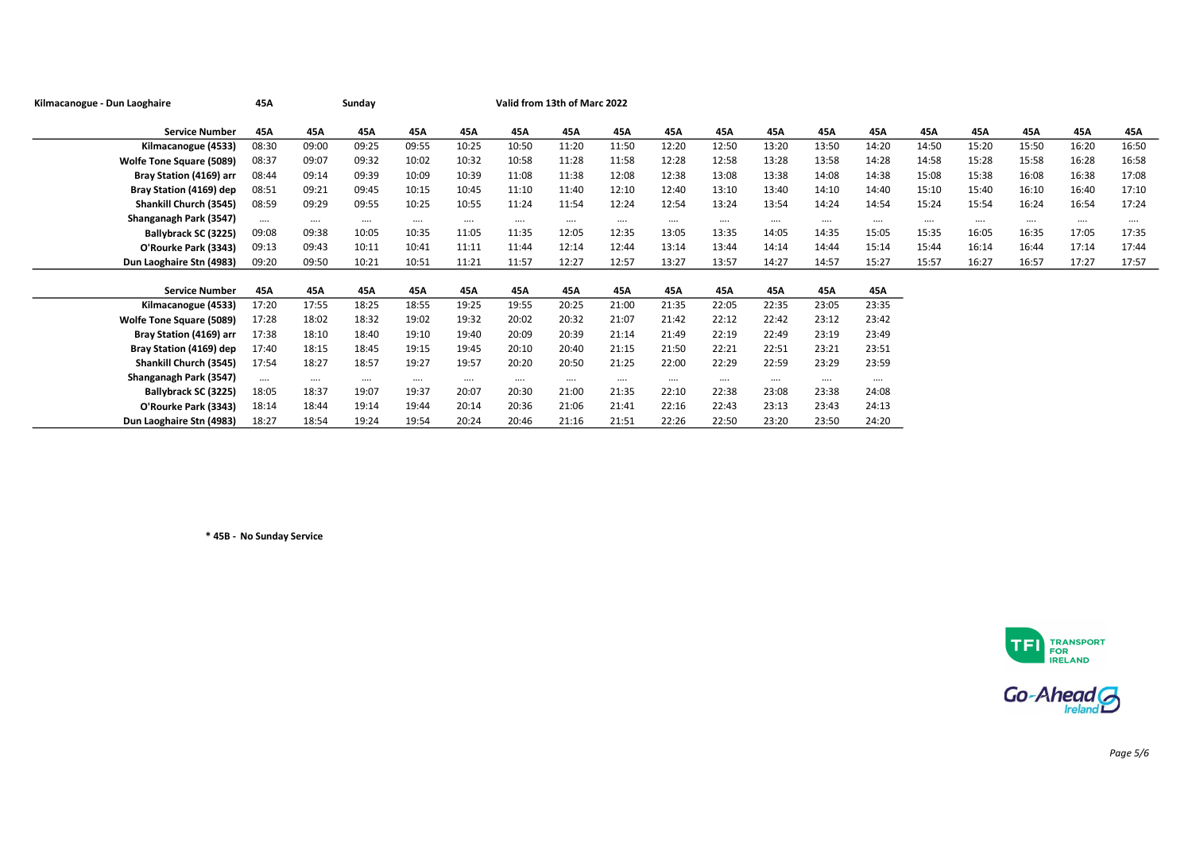| Kilmacanogue - Dun Laoghaire    | 45A      |          | Sunday   | Valid from 13th of Marc 2022 |          |          |          |       |          |          |          |          |          |          |          |          |          |       |
|---------------------------------|----------|----------|----------|------------------------------|----------|----------|----------|-------|----------|----------|----------|----------|----------|----------|----------|----------|----------|-------|
|                                 |          |          |          |                              |          |          |          |       |          |          |          |          |          |          |          |          |          |       |
| <b>Service Number</b>           | 45A      | 45A      | 45A      | 45A                          | 45A      | 45A      | 45A      | 45A   | 45A      | 45A      | 45A      | 45A      | 45A      | 45A      | 45A      | 45A      | 45A      | 45A   |
| Kilmacanogue (4533)             | 08:30    | 09:00    | 09:25    | 09:55                        | 10:25    | 10:50    | 11:20    | 11:50 | 12:20    | 12:50    | 13:20    | 13:50    | 14:20    | 14:50    | 15:20    | 15:50    | 16:20    | 16:50 |
| <b>Wolfe Tone Square (5089)</b> | 08:37    | 09:07    | 09:32    | 10:02                        | 10:32    | 10:58    | 11:28    | 11:58 | 12:28    | 12:58    | 13:28    | 13:58    | 14:28    | 14:58    | 15:28    | 15:58    | 16:28    | 16:58 |
| Bray Station (4169) arr         | 08:44    | 09:14    | 09:39    | 10:09                        | 10:39    | 11:08    | 11:38    | 12:08 | 12:38    | 13:08    | 13:38    | 14:08    | 14:38    | 15:08    | 15:38    | 16:08    | 16:38    | 17:08 |
| Bray Station (4169) dep         | 08:51    | 09:21    | 09:45    | 10:15                        | 10:45    | 11:10    | 11:40    | 12:10 | 12:40    | 13:10    | 13:40    | 14:10    | 14:40    | 15:10    | 15:40    | 16:10    | 16:40    | 17:10 |
| Shankill Church (3545)          | 08:59    | 09:29    | 09:55    | 10:25                        | 10:55    | 11:24    | 11:54    | 12:24 | 12:54    | 13:24    | 13:54    | 14:24    | 14:54    | 15:24    | 15:54    | 16:24    | 16:54    | 17:24 |
| Shanganagh Park (3547)          | $\cdots$ | $\cdots$ | $\cdots$ | $\cdots$                     | $\cdots$ | $\cdots$ | $\cdots$ |       | $\cdots$ | $\cdots$ | $\cdots$ | $\cdots$ | $\cdots$ | $\cdots$ | $\cdots$ | $\cdots$ | $\cdots$ |       |
| Ballybrack SC (3225)            | 09:08    | 09:38    | 10:05    | 10:35                        | 11:05    | 11:35    | 12:05    | 12:35 | 13:05    | 13:35    | 14:05    | 14:35    | 15:05    | 15:35    | 16:05    | 16:35    | 17:05    | 17:35 |
| O'Rourke Park (3343)            | 09:13    | 09:43    | 10:11    | 10:41                        | 11:11    | 11:44    | 12:14    | 12:44 | 13:14    | 13:44    | 14:14    | 14:44    | 15:14    | 15:44    | 16:14    | 16:44    | 17:14    | 17:44 |
| Dun Laoghaire Stn (4983)        | 09:20    | 09:50    | 10:21    | 10:51                        | 11:21    | 11:57    | 12:27    | 12:57 | 13:27    | 13:57    | 14:27    | 14:57    | 15:27    | 15:57    | 16:27    | 16:57    | 17:27    | 17:57 |
|                                 |          |          |          |                              |          |          |          |       |          |          |          |          |          |          |          |          |          |       |
| <b>Service Number</b>           | 45A      | 45A      | 45A      | 45A                          | 45A      | 45A      | 45A      | 45A   | 45A      | 45A      | 45A      | 45A      | 45A      |          |          |          |          |       |
| Kilmacanogue (4533)             | 17:20    | 17:55    | 18:25    | 18:55                        | 19:25    | 19:55    | 20:25    | 21:00 | 21:35    | 22:05    | 22:35    | 23:05    | 23:35    |          |          |          |          |       |
| <b>Wolfe Tone Square (5089)</b> | 17:28    | 18:02    | 18:32    | 19:02                        | 19:32    | 20:02    | 20:32    | 21:07 | 21:42    | 22:12    | 22:42    | 23:12    | 23:42    |          |          |          |          |       |
| Bray Station (4169) arr         | 17:38    | 18:10    | 18:40    | 19:10                        | 19:40    | 20:09    | 20:39    | 21:14 | 21:49    | 22:19    | 22:49    | 23:19    | 23:49    |          |          |          |          |       |
| Bray Station (4169) dep         | 17:40    | 18:15    | 18:45    | 19:15                        | 19:45    | 20:10    | 20:40    | 21:15 | 21:50    | 22:21    | 22:51    | 23:21    | 23:51    |          |          |          |          |       |
| Shankill Church (3545)          | 17:54    | 18:27    | 18:57    | 19:27                        | 19:57    | 20:20    | 20:50    | 21:25 | 22:00    | 22:29    | 22:59    | 23:29    | 23:59    |          |          |          |          |       |
| Shanganagh Park (3547)          | $\cdots$ | $\cdots$ | $\cdots$ | $\cdots$                     | $\cdots$ | $\cdots$ | $\cdots$ |       | $\cdots$ | $\cdots$ | $\cdots$ | $\cdots$ | $\cdots$ |          |          |          |          |       |
| Ballybrack SC (3225)            | 18:05    | 18:37    | 19:07    | 19:37                        | 20:07    | 20:30    | 21:00    | 21:35 | 22:10    | 22:38    | 23:08    | 23:38    | 24:08    |          |          |          |          |       |
| O'Rourke Park (3343)            | 18:14    | 18:44    | 19:14    | 19:44                        | 20:14    | 20:36    | 21:06    | 21:41 | 22:16    | 22:43    | 23:13    | 23:43    | 24:13    |          |          |          |          |       |
| Dun Laoghaire Stn (4983)        | 18:27    | 18:54    | 19:24    | 19:54                        | 20:24    | 20:46    | 21:16    | 21:51 | 22:26    | 22:50    | 23:20    | 23:50    | 24:20    |          |          |          |          |       |

\* 45B - No Sunday Service